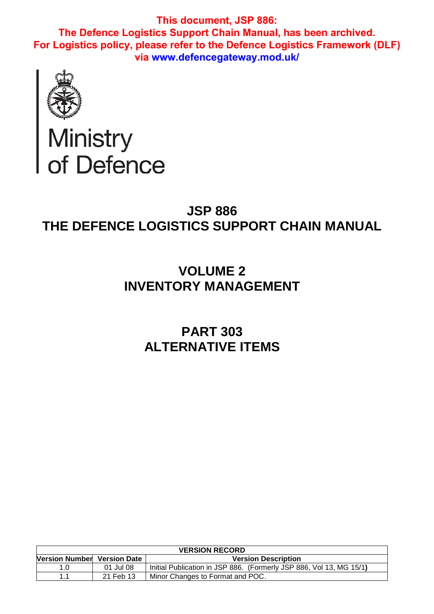

# Ministry<br>of Defence

# **JSP 886 THE DEFENCE LOGISTICS SUPPORT CHAIN MANUAL**

# **VOLUME 2 INVENTORY MANAGEMENT**

# **PART 303 ALTERNATIVE ITEMS**

| <b>VERSION RECORD</b>       |           |                                                                     |  |
|-----------------------------|-----------|---------------------------------------------------------------------|--|
| Version Number Version Date |           | <b>Version Description</b>                                          |  |
| 1.0                         | 01 Jul 08 | Initial Publication in JSP 886. (Formerly JSP 886, Vol 13, MG 15/1) |  |
|                             | 21 Feb 13 | Minor Changes to Format and POC.                                    |  |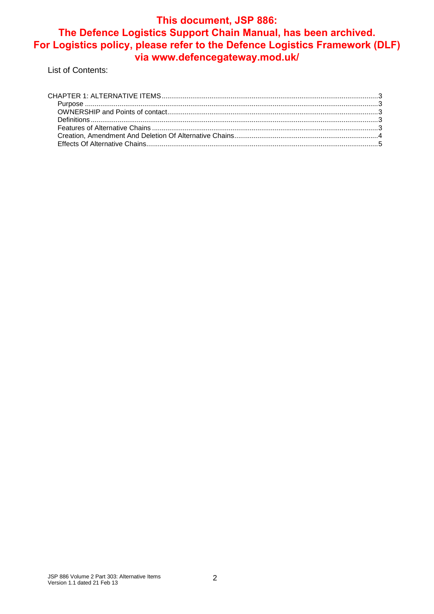List of Contents: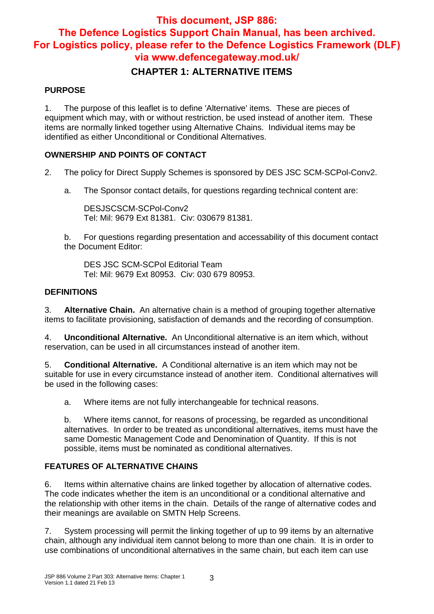## **This document, JSP 886:**

# **The Defence Logistics Support Chain Manual, has been archived. For Logistics policy, please refer to the Defence Logistics Framework (DLF) via www.defencegateway.mod.uk/**

## **CHAPTER 1: ALTERNATIVE ITEMS**

#### **PURPOSE**

1. The purpose of this leaflet is to define 'Alternative' items. These are pieces of equipment which may, with or without restriction, be used instead of another item. These items are normally linked together using Alternative Chains. Individual items may be identified as either Unconditional or Conditional Alternatives.

#### **OWNERSHIP AND POINTS OF CONTACT**

- 2. The policy for Direct Supply Schemes is sponsored by DES JSC SCM-SCPol-Conv2.
	- a. The Sponsor contact details, for questions regarding technical content are:

DESJSCSCM-SCPol-Conv2 Tel: Mil: 9679 Ext 81381. Civ: 030679 81381.

b. For questions regarding presentation and accessability of this document contact the Document Editor:

DES JSC SCM-SCPol Editorial Team Tel: Mil: 9679 Ext 80953. Civ: 030 679 80953.

#### **DEFINITIONS**

3. **Alternative Chain.** An alternative chain is a method of grouping together alternative items to facilitate provisioning, satisfaction of demands and the recording of consumption.

4. **Unconditional Alternative.** An Unconditional alternative is an item which, without reservation, can be used in all circumstances instead of another item.

5. **Conditional Alternative.** A Conditional alternative is an item which may not be suitable for use in every circumstance instead of another item. Conditional alternatives will be used in the following cases:

a. Where items are not fully interchangeable for technical reasons.

b. Where items cannot, for reasons of processing, be regarded as unconditional alternatives. In order to be treated as unconditional alternatives, items must have the same Domestic Management Code and Denomination of Quantity. If this is not possible, items must be nominated as conditional alternatives.

#### **FEATURES OF ALTERNATIVE CHAINS**

6. Items within alternative chains are linked together by allocation of alternative codes. The code indicates whether the item is an unconditional or a conditional alternative and the relationship with other items in the chain. Details of the range of alternative codes and their meanings are available on SMTN Help Screens.

7. System processing will permit the linking together of up to 99 items by an alternative chain, although any individual item cannot belong to more than one chain. It is in order to use combinations of unconditional alternatives in the same chain, but each item can use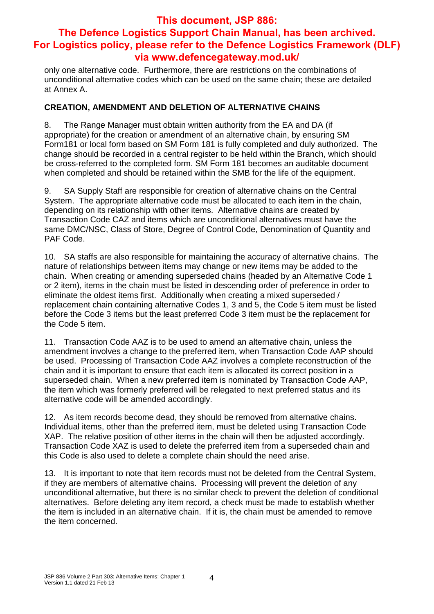only one alternative code. Furthermore, there are restrictions on the combinations of unconditional alternative codes which can be used on the same chain; these are detailed at Annex A.

#### **CREATION, AMENDMENT AND DELETION OF ALTERNATIVE CHAINS**

8. The Range Manager must obtain written authority from the EA and DA (if appropriate) for the creation or amendment of an alternative chain, by ensuring SM Form181 or local form based on SM Form 181 is fully completed and duly authorized. The change should be recorded in a central register to be held within the Branch, which should be cross-referred to the completed form. SM Form 181 becomes an auditable document when completed and should be retained within the SMB for the life of the equipment.

9. SA Supply Staff are responsible for creation of alternative chains on the Central System. The appropriate alternative code must be allocated to each item in the chain, depending on its relationship with other items. Alternative chains are created by Transaction Code CAZ and items which are unconditional alternatives must have the same DMC/NSC, Class of Store, Degree of Control Code, Denomination of Quantity and PAF Code.

10. SA staffs are also responsible for maintaining the accuracy of alternative chains. The nature of relationships between items may change or new items may be added to the chain. When creating or amending superseded chains (headed by an Alternative Code 1 or 2 item), items in the chain must be listed in descending order of preference in order to eliminate the oldest items first. Additionally when creating a mixed superseded / replacement chain containing alternative Codes 1, 3 and 5, the Code 5 item must be listed before the Code 3 items but the least preferred Code 3 item must be the replacement for the Code 5 item.

11. Transaction Code AAZ is to be used to amend an alternative chain, unless the amendment involves a change to the preferred item, when Transaction Code AAP should be used. Processing of Transaction Code AAZ involves a complete reconstruction of the chain and it is important to ensure that each item is allocated its correct position in a superseded chain. When a new preferred item is nominated by Transaction Code AAP, the item which was formerly preferred will be relegated to next preferred status and its alternative code will be amended accordingly.

12. As item records become dead, they should be removed from alternative chains. Individual items, other than the preferred item, must be deleted using Transaction Code XAP. The relative position of other items in the chain will then be adjusted accordingly. Transaction Code XAZ is used to delete the preferred item from a superseded chain and this Code is also used to delete a complete chain should the need arise.

13. It is important to note that item records must not be deleted from the Central System, if they are members of alternative chains. Processing will prevent the deletion of any unconditional alternative, but there is no similar check to prevent the deletion of conditional alternatives. Before deleting any item record, a check must be made to establish whether the item is included in an alternative chain. If it is, the chain must be amended to remove the item concerned.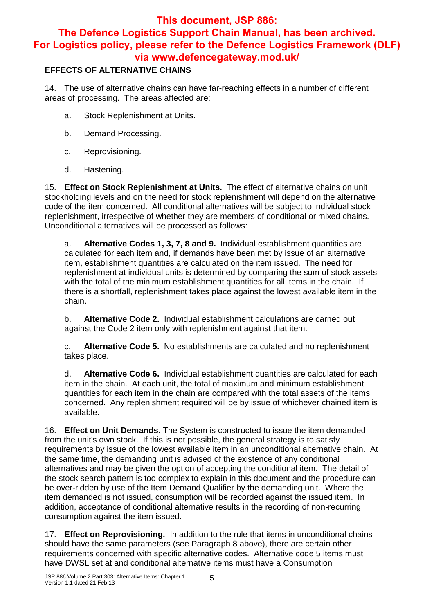#### **EFFECTS OF ALTERNATIVE CHAINS**

14. The use of alternative chains can have far-reaching effects in a number of different areas of processing. The areas affected are:

- a. Stock Replenishment at Units.
- b. Demand Processing.
- c. Reprovisioning.
- d. Hastening.

15. **Effect on Stock Replenishment at Units.** The effect of alternative chains on unit stockholding levels and on the need for stock replenishment will depend on the alternative code of the item concerned. All conditional alternatives will be subject to individual stock replenishment, irrespective of whether they are members of conditional or mixed chains. Unconditional alternatives will be processed as follows:

a. **Alternative Codes 1, 3, 7, 8 and 9.** Individual establishment quantities are calculated for each item and, if demands have been met by issue of an alternative item, establishment quantities are calculated on the item issued. The need for replenishment at individual units is determined by comparing the sum of stock assets with the total of the minimum establishment quantities for all items in the chain. If there is a shortfall, replenishment takes place against the lowest available item in the chain.

b. **Alternative Code 2.** Individual establishment calculations are carried out against the Code 2 item only with replenishment against that item.

c. **Alternative Code 5.** No establishments are calculated and no replenishment takes place.

d. **Alternative Code 6.** Individual establishment quantities are calculated for each item in the chain. At each unit, the total of maximum and minimum establishment quantities for each item in the chain are compared with the total assets of the items concerned. Any replenishment required will be by issue of whichever chained item is available.

16. **Effect on Unit Demands.** The System is constructed to issue the item demanded from the unit's own stock. If this is not possible, the general strategy is to satisfy requirements by issue of the lowest available item in an unconditional alternative chain. At the same time, the demanding unit is advised of the existence of any conditional alternatives and may be given the option of accepting the conditional item. The detail of the stock search pattern is too complex to explain in this document and the procedure can be over-ridden by use of the Item Demand Qualifier by the demanding unit. Where the item demanded is not issued, consumption will be recorded against the issued item. In addition, acceptance of conditional alternative results in the recording of non-recurring consumption against the item issued.

17. **Effect on Reprovisioning.** In addition to the rule that items in unconditional chains should have the same parameters (see Paragraph 8 above), there are certain other requirements concerned with specific alternative codes. Alternative code 5 items must have DWSL set at and conditional alternative items must have a Consumption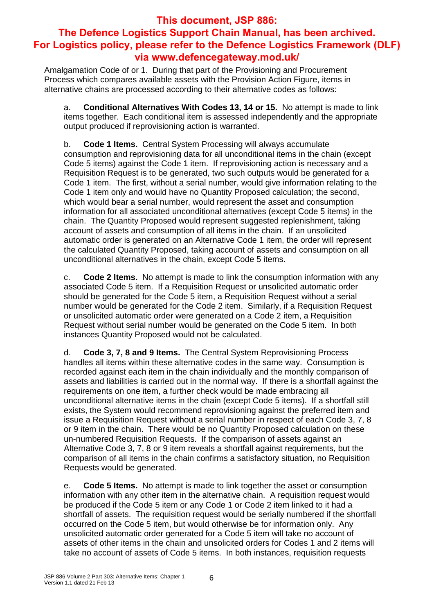Amalgamation Code of or 1. During that part of the Provisioning and Procurement Process which compares available assets with the Provision Action Figure, items in alternative chains are processed according to their alternative codes as follows:

a. **Conditional Alternatives With Codes 13, 14 or 15.** No attempt is made to link items together. Each conditional item is assessed independently and the appropriate output produced if reprovisioning action is warranted.

b. **Code 1 Items.** Central System Processing will always accumulate consumption and reprovisioning data for all unconditional items in the chain (except Code 5 items) against the Code 1 item. If reprovisioning action is necessary and a Requisition Request is to be generated, two such outputs would be generated for a Code 1 item. The first, without a serial number, would give information relating to the Code 1 item only and would have no Quantity Proposed calculation; the second, which would bear a serial number, would represent the asset and consumption information for all associated unconditional alternatives (except Code 5 items) in the chain. The Quantity Proposed would represent suggested replenishment, taking account of assets and consumption of all items in the chain. If an unsolicited automatic order is generated on an Alternative Code 1 item, the order will represent the calculated Quantity Proposed, taking account of assets and consumption on all unconditional alternatives in the chain, except Code 5 items.

c. **Code 2 Items.** No attempt is made to link the consumption information with any associated Code 5 item. If a Requisition Request or unsolicited automatic order should be generated for the Code 5 item, a Requisition Request without a serial number would be generated for the Code 2 item. Similarly, if a Requisition Request or unsolicited automatic order were generated on a Code 2 item, a Requisition Request without serial number would be generated on the Code 5 item. In both instances Quantity Proposed would not be calculated.

d. **Code 3, 7, 8 and 9 Items.** The Central System Reprovisioning Process handles all items within these alternative codes in the same way. Consumption is recorded against each item in the chain individually and the monthly comparison of assets and liabilities is carried out in the normal way. If there is a shortfall against the requirements on one item, a further check would be made embracing all unconditional alternative items in the chain (except Code 5 items). If a shortfall still exists, the System would recommend reprovisioning against the preferred item and issue a Requisition Request without a serial number in respect of each Code 3, 7, 8 or 9 item in the chain. There would be no Quantity Proposed calculation on these un-numbered Requisition Requests. If the comparison of assets against an Alternative Code 3, 7, 8 or 9 item reveals a shortfall against requirements, but the comparison of all items in the chain confirms a satisfactory situation, no Requisition Requests would be generated.

e. **Code 5 Items.** No attempt is made to link together the asset or consumption information with any other item in the alternative chain. A requisition request would be produced if the Code 5 item or any Code 1 or Code 2 item linked to it had a shortfall of assets. The requisition request would be serially numbered if the shortfall occurred on the Code 5 item, but would otherwise be for information only. Any unsolicited automatic order generated for a Code 5 item will take no account of assets of other items in the chain and unsolicited orders for Codes 1 and 2 items will take no account of assets of Code 5 items. In both instances, requisition requests